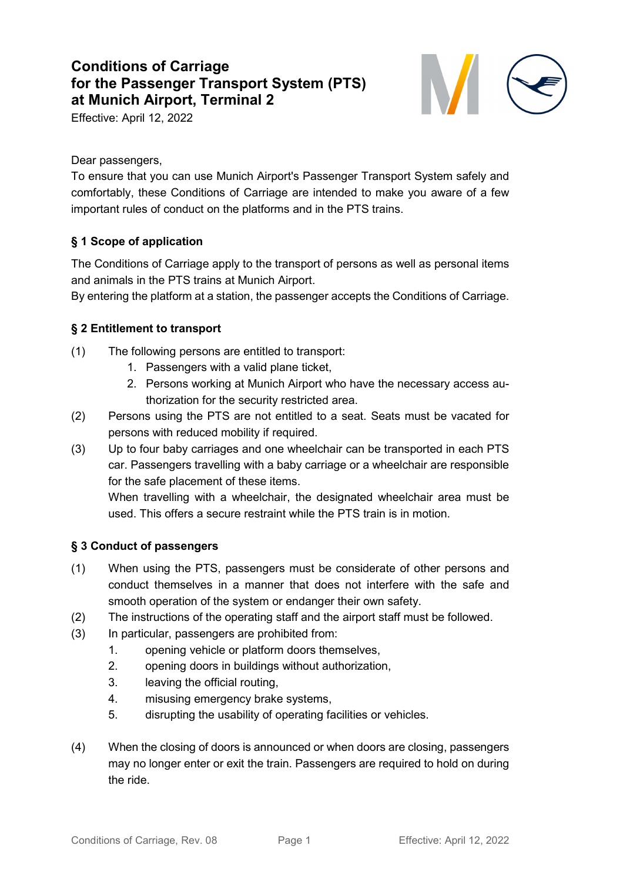# **Conditions of Carriage for the Passenger Transport System (PTS) at Munich Airport, Terminal 2**

Effective: April 12, 2022



Dear passengers,

To ensure that you can use Munich Airport's Passenger Transport System safely and comfortably, these Conditions of Carriage are intended to make you aware of a few important rules of conduct on the platforms and in the PTS trains.

# **§ 1 Scope of application**

The Conditions of Carriage apply to the transport of persons as well as personal items and animals in the PTS trains at Munich Airport.

By entering the platform at a station, the passenger accepts the Conditions of Carriage.

# **§ 2 Entitlement to transport**

- (1) The following persons are entitled to transport:
	- 1. Passengers with a valid plane ticket,
	- 2. Persons working at Munich Airport who have the necessary access authorization for the security restricted area.
- (2) Persons using the PTS are not entitled to a seat. Seats must be vacated for persons with reduced mobility if required.
- (3) Up to four baby carriages and one wheelchair can be transported in each PTS car. Passengers travelling with a baby carriage or a wheelchair are responsible for the safe placement of these items.

When travelling with a wheelchair, the designated wheelchair area must be used. This offers a secure restraint while the PTS train is in motion.

# **§ 3 Conduct of passengers**

- (1) When using the PTS, passengers must be considerate of other persons and conduct themselves in a manner that does not interfere with the safe and smooth operation of the system or endanger their own safety.
- (2) The instructions of the operating staff and the airport staff must be followed.
- (3) In particular, passengers are prohibited from:
	- 1. opening vehicle or platform doors themselves,
	- 2. opening doors in buildings without authorization,
	- 3. leaving the official routing,
	- 4. misusing emergency brake systems,
	- 5. disrupting the usability of operating facilities or vehicles.
- (4) When the closing of doors is announced or when doors are closing, passengers may no longer enter or exit the train. Passengers are required to hold on during the ride.